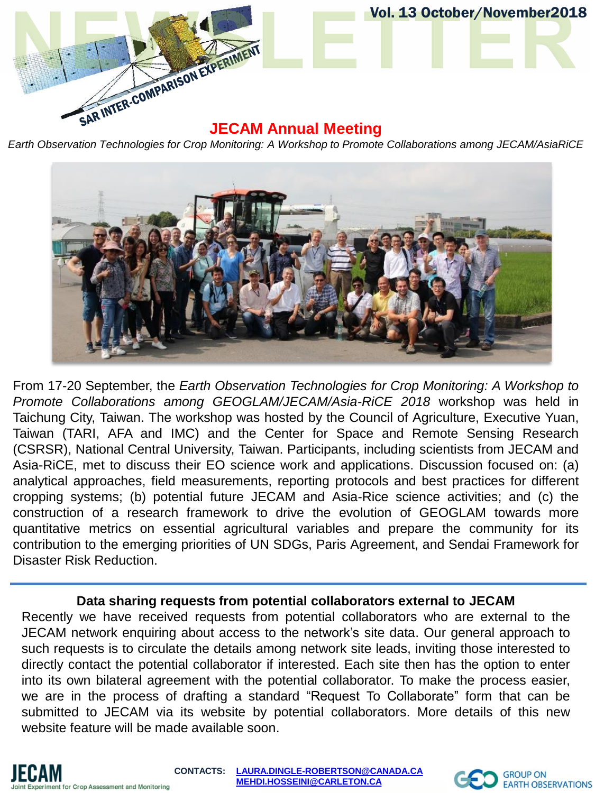

*Earth Observation Technologies for Crop Monitoring: A Workshop to Promote Collaborations among JECAM/AsiaRiCE*



From 17-20 September, the *Earth Observation Technologies for Crop Monitoring: A Workshop to Promote Collaborations among GEOGLAM/JECAM/Asia-RiCE 2018* workshop was held in Taichung City, Taiwan. The workshop was hosted by the Council of Agriculture, Executive Yuan, Taiwan (TARI, AFA and IMC) and the Center for Space and Remote Sensing Research (CSRSR), National Central University, Taiwan. Participants, including scientists from JECAM and Asia-RiCE, met to discuss their EO science work and applications. Discussion focused on: (a) analytical approaches, field measurements, reporting protocols and best practices for different cropping systems; (b) potential future JECAM and Asia-Rice science activities; and (c) the construction of a research framework to drive the evolution of GEOGLAM towards more quantitative metrics on essential agricultural variables and prepare the community for its contribution to the emerging priorities of UN SDGs, Paris Agreement, and Sendai Framework for Disaster Risk Reduction.

#### **Data sharing requests from potential collaborators external to JECAM**

Recently we have received requests from potential collaborators who are external to the JECAM network enquiring about access to the network's site data. Our general approach to such requests is to circulate the details among network site leads, inviting those interested to directly contact the potential collaborator if interested. Each site then has the option to enter into its own bilateral agreement with the potential collaborator. To make the process easier, we are in the process of drafting a standard "Request To Collaborate" form that can be submitted to JECAM via its website by potential collaborators. More details of this new website feature will be made available soon.

**CONTACTS: [LAURA.DINGLE-ROBERTSON@CANADA.CA](mailto:LAURA.DINGLE-ROBERTSON@AGR.GC.CA) [MEHDI.HOSSEINI@CARLETON.CA](mailto:MEHDI.HOSSEINI@CARLETON.CA)**